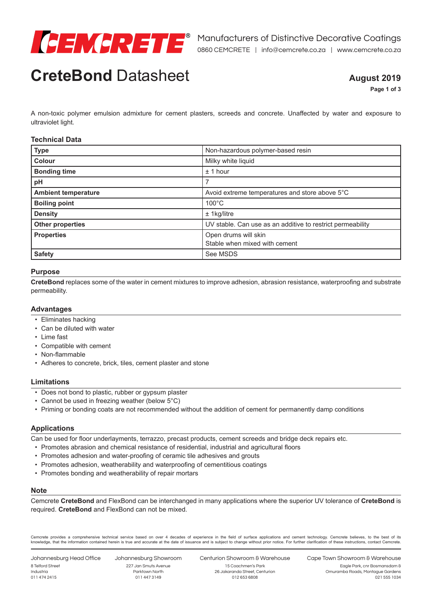

# **CreteBond** Datasheet

# **August 2019**

**Page 1 of 3**

A non-toxic polymer emulsion admixture for cement plasters, screeds and concrete. Unaffected by water and exposure to ultraviolet light.

## **Technical Data**

| <b>Type</b>                | Non-hazardous polymer-based resin                          |
|----------------------------|------------------------------------------------------------|
| <b>Colour</b>              | Milky white liquid                                         |
| <b>Bonding time</b>        | ± 1 hour                                                   |
| pH                         |                                                            |
| <b>Ambient temperature</b> | Avoid extreme temperatures and store above 5°C             |
| <b>Boiling point</b>       | $100^{\circ}$ C                                            |
| <b>Density</b>             | $±$ 1 kg/litre                                             |
| <b>Other properties</b>    | UV stable. Can use as an additive to restrict permeability |
| <b>Properties</b>          | Open drums will skin                                       |
|                            | Stable when mixed with cement                              |
| <b>Safety</b>              | See MSDS                                                   |

#### **Purpose**

**CreteBond** replaces some of the water in cement mixtures to improve adhesion, abrasion resistance, waterproofing and substrate permeability.

### **Advantages**

- Eliminates hacking
- Can be diluted with water
- Lime fast
- Compatible with cement
- Non-flammable
- Adheres to concrete, brick, tiles, cement plaster and stone

### **Limitations**

- Does not bond to plastic, rubber or gypsum plaster
- Cannot be used in freezing weather (below 5°C)
- Priming or bonding coats are not recommended without the addition of cement for permanently damp conditions

### **Applications**

Can be used for floor underlayments, terrazzo, precast products, cement screeds and bridge deck repairs etc.

- Promotes abrasion and chemical resistance of residential, industrial and agricultural floors
- Promotes adhesion and water-proofing of ceramic tile adhesives and grouts
- Promotes adhesion, weatherability and waterproofing of cementitious coatings
- Promotes bonding and weatherability of repair mortars

# **Note**

Cemcrete **CreteBond** and FlexBond can be interchanged in many applications where the superior UV tolerance of **CreteBond** is required. **CreteBond** and FlexBond can not be mixed.

Cemcrete provides a comprehensive technical service based on over 4 decades of experience in the field of surface applications and cement technology. Cemcrete believes, to the best of its knowledge, that the information contained herein is true and accurate at the date of issuance and is subject to change without prior notice. For further clarification of these instructions, contact Cemcrete.

Johannesburg Head Office 8 Telford Street Industria 011 474 2415

Johannesburg Showroom 227 Jan Smuts Avenue Parktown North 011 447 3149

Centurion Showroom & Warehouse 15 Coachmen's Park 26 Jakaranda Street, Centurion

012 653 6808

Cape Town Showroom & Warehouse

Eagle Park, cnr Bosmansdam & Omuramba Roads, Montague Gardens 021 555 1034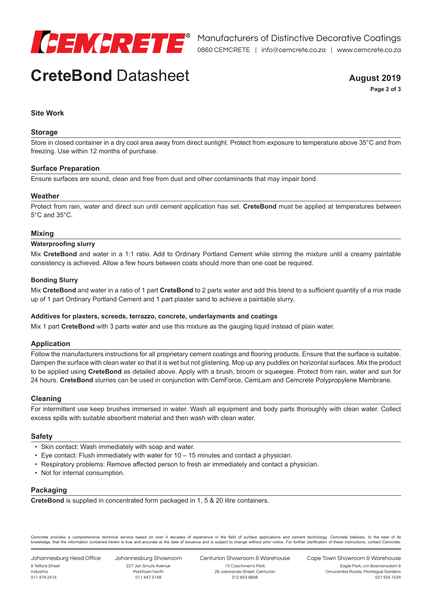

# **CreteBond** Datasheet

**August 2019 Page 2 of 3**

# **Site Work**

#### **Storage**

Store in closed container in a dry cool area away from direct sunlight. Protect from exposure to temperature above 35°C and from freezing. Use within 12 months of purchase.

#### **Surface Preparation**

Ensure surfaces are sound, clean and free from dust and other contaminants that may impair bond.

#### **Weather**

Protect from rain, water and direct sun until cement application has set. **CreteBond** must be applied at temperatures between 5°C and 35°C.

#### **Mixing**

#### **Waterproofing slurry**

Mix **CreteBond** and water in a 1:1 ratio. Add to Ordinary Portland Cement while stirring the mixture until a creamy paintable consistency is achieved. Allow a few hours between coats should more than one coat be required.

#### **Bonding Slurry**

Mix **CreteBond** and water in a ratio of 1 part **CreteBond** to 2 parts water and add this blend to a sufficient quantity of a mix made up of 1 part Ordinary Portland Cement and 1 part plaster sand to achieve a paintable slurry.

#### **Additives for plasters, screeds, terrazzo, concrete, underlayments and coatings**

Mix 1 part **CreteBond** with 3 parts water and use this mixture as the gauging liquid instead of plain water.

#### **Application**

Follow the manufacturers instructions for all proprietary cement coatings and flooring products. Ensure that the surface is suitable. Dampen the surface with clean water so that it is wet but not glistening. Mop up any puddles on horizontal surfaces. Mix the product to be applied using **CreteBond** as detailed above. Apply with a brush, broom or squeegee. Protect from rain, water and sun for 24 hours. **CreteBond** slurries can be used in conjunction with CemForce, CemLam and Cemcrete Polypropylene Membrane.

#### **Cleaning**

For intermittent use keep brushes immersed in water. Wash all equipment and body parts thoroughly with clean water. Collect excess spills with suitable absorbent material and then wash with clean water.

#### **Safety**

- Skin contact: Wash immediately with soap and water.
- Eye contact: Flush immediately with water for 10 15 minutes and contact a physician.
- Respiratory problems: Remove affected person to fresh air immediately and contact a physician.
- Not for internal consumption.

#### **Packaging**

**CreteBond** is supplied in concentrated form packaged in 1, 5 & 20 litre containers.

Cemcrete provides a comprehensive technical service based on over 4 decades of experience in the field of surface applications and cement technology. Cemcrete believes, to the best of its knowledge, that the information contained herein is true and accurate at the date of issuance and is subject to change without prior notice. For further clarification of these instructions, contact Cemcrete.

Johannesburg Head Office 8 Telford Street Industria 011 474 2415

Johannesburg Showroom 227 Jan Smuts Avenue Parktown North 011 447 3149

Centurion Showroom & Warehouse 15 Coachmen's Park 26 Jakaranda Street, Centurion

012 653 6808

Cape Town Showroom & Warehouse

Eagle Park, cnr Bosmansdam & Omuramba Roads, Montague Gardens 021 555 1034